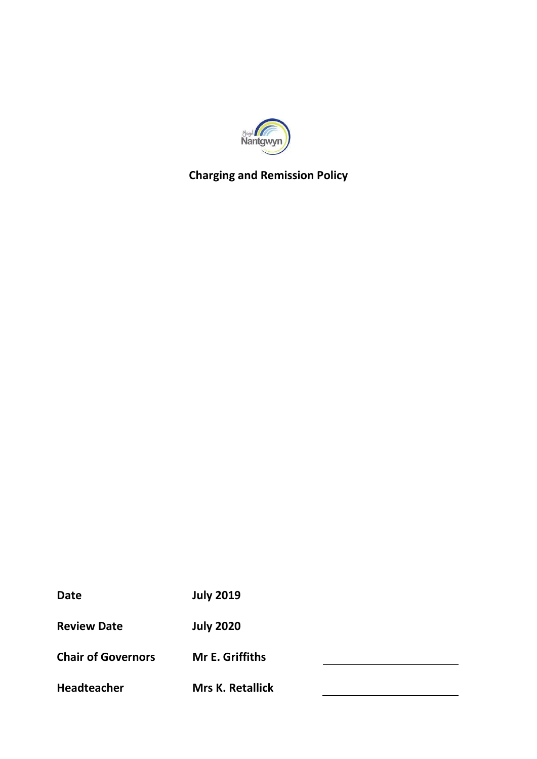

# **Charging and Remission Policy**

| Date                      | <b>July 2019</b>        |
|---------------------------|-------------------------|
| <b>Review Date</b>        | <b>July 2020</b>        |
| <b>Chair of Governors</b> | Mr E. Griffiths         |
| <b>Headteacher</b>        | <b>Mrs K. Retallick</b> |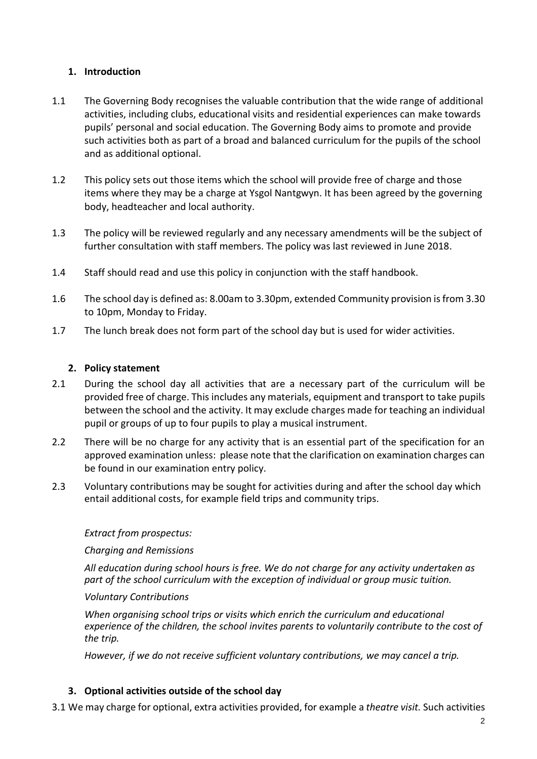# **1. Introduction**

- 1.1 The Governing Body recognises the valuable contribution that the wide range of additional activities, including clubs, educational visits and residential experiences can make towards pupils' personal and social education. The Governing Body aims to promote and provide such activities both as part of a broad and balanced curriculum for the pupils of the school and as additional optional.
- 1.2 This policy sets out those items which the school will provide free of charge and those items where they may be a charge at Ysgol Nantgwyn. It has been agreed by the governing body, headteacher and local authority.
- 1.3 The policy will be reviewed regularly and any necessary amendments will be the subject of further consultation with staff members. The policy was last reviewed in June 2018.
- 1.4 Staff should read and use this policy in conjunction with the staff handbook.
- 1.6 The school day is defined as: 8.00am to 3.30pm, extended Community provision is from 3.30 to 10pm, Monday to Friday.
- 1.7 The lunch break does not form part of the school day but is used for wider activities.

#### **2. Policy statement**

- 2.1 During the school day all activities that are a necessary part of the curriculum will be provided free of charge. This includes any materials, equipment and transport to take pupils between the school and the activity. It may exclude charges made for teaching an individual pupil or groups of up to four pupils to play a musical instrument.
- 2.2 There will be no charge for any activity that is an essential part of the specification for an approved examination unless: please note that the clarification on examination charges can be found in our examination entry policy.
- 2.3 Voluntary contributions may be sought for activities during and after the school day which entail additional costs, for example field trips and community trips.

#### *Extract from prospectus:*

#### *Charging and Remissions*

*All education during school hours is free. We do not charge for any activity undertaken as part of the school curriculum with the exception of individual or group music tuition.* 

#### *Voluntary Contributions*

*When organising school trips or visits which enrich the curriculum and educational experience of the children, the school invites parents to voluntarily contribute to the cost of the trip.* 

*However, if we do not receive sufficient voluntary contributions, we may cancel a trip.* 

## **3. Optional activities outside of the school day**

3.1 We may charge for optional, extra activities provided, for example a *theatre visit.* Such activities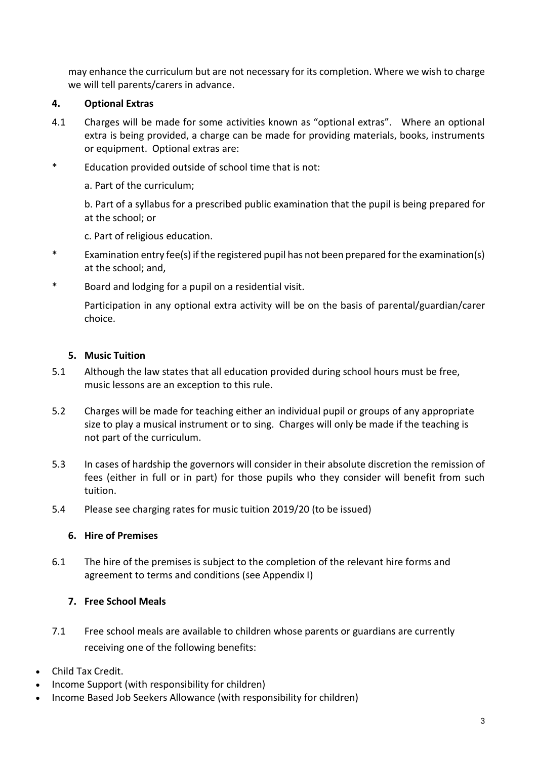may enhance the curriculum but are not necessary for its completion. Where we wish to charge we will tell parents/carers in advance.

# **4. Optional Extras**

- 4.1 Charges will be made for some activities known as "optional extras". Where an optional extra is being provided, a charge can be made for providing materials, books, instruments or equipment. Optional extras are:
- \* Education provided outside of school time that is not:
	- a. Part of the curriculum;

b. Part of a syllabus for a prescribed public examination that the pupil is being prepared for at the school; or

c. Part of religious education.

- \* Examination entry fee(s) if the registered pupil has not been prepared for the examination(s) at the school; and,
- \* Board and lodging for a pupil on a residential visit.

Participation in any optional extra activity will be on the basis of parental/guardian/carer choice.

## **5. Music Tuition**

- 5.1 Although the law states that all education provided during school hours must be free, music lessons are an exception to this rule.
- 5.2 Charges will be made for teaching either an individual pupil or groups of any appropriate size to play a musical instrument or to sing. Charges will only be made if the teaching is not part of the curriculum.
- 5.3 In cases of hardship the governors will consider in their absolute discretion the remission of fees (either in full or in part) for those pupils who they consider will benefit from such tuition.
- 5.4 Please see charging rates for music tuition 2019/20 (to be issued)

## **6. Hire of Premises**

6.1 The hire of the premises is subject to the completion of the relevant hire forms and agreement to terms and conditions (see Appendix I)

## **7. Free School Meals**

- 7.1 Free school meals are available to children whose parents or guardians are currently receiving one of the following benefits:
- Child Tax Credit.
- Income Support (with responsibility for children)
- Income Based Job Seekers Allowance (with responsibility for children)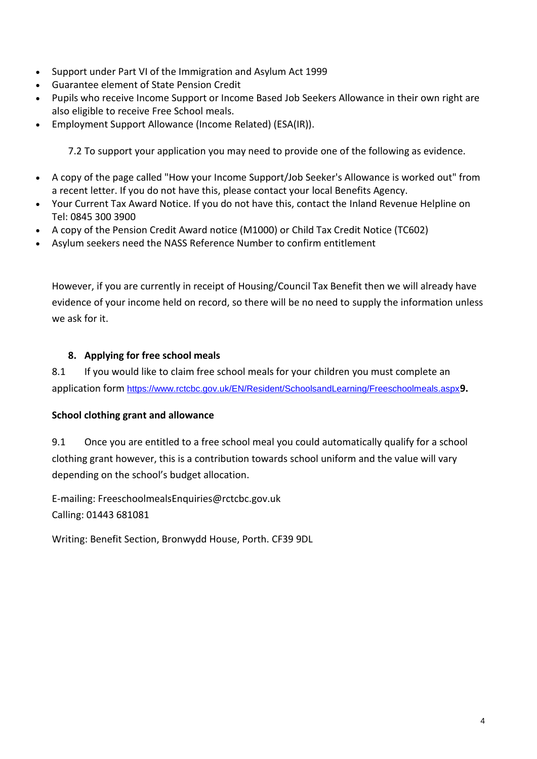- Support under Part VI of the Immigration and Asylum Act 1999
- Guarantee element of State Pension Credit
- Pupils who receive Income Support or Income Based Job Seekers Allowance in their own right are also eligible to receive Free School meals.
- Employment Support Allowance (Income Related) (ESA(IR)).

7.2 To support your application you may need to provide one of the following as evidence.

- A copy of the page called "How your Income Support/Job Seeker's Allowance is worked out" from a recent letter. If you do not have this, please contact your local [Benefits Agency.](http://www.dwp.gov.uk/contact-us/)
- Your Current Tax Award Notice. If you do not have this, contact the [Inland Revenue Helpline](http://search2.hmrc.gov.uk/kbroker/hmrc/contactus/start.jsp) on Tel: 0845 300 3900
- A copy of the Pension Credit Award notice (M1000) or Child Tax Credit Notice (TC602)
- Asylum seekers need the NASS Reference Number to confirm entitlement

However, if you are currently in receipt of Housing/Council Tax Benefit then we will already have evidence of your income held on record, so there will be no need to supply the information unless we ask for it.

# **8. Applying for free school meals**

8.1 If you would like to claim free school meals for your children you must complete an application form <https://www.rctcbc.gov.uk/EN/Resident/SchoolsandLearning/Freeschoolmeals.aspx>**9.**

# **School clothing grant and allowance**

9.1 Once you are entitled to a free school meal you could automatically qualify for a school clothing grant however, this is a contribution towards school uniform and the value will vary depending on the school's budget allocation.

E-mailing: [FreeschoolmealsEnquiries@rctcbc.gov.uk](mailto:FreeschoolmealsEnquiries@rctcbc.gov.uk) Calling: 01443 681081

Writing: Benefit Section, Bronwydd House, Porth. CF39 9DL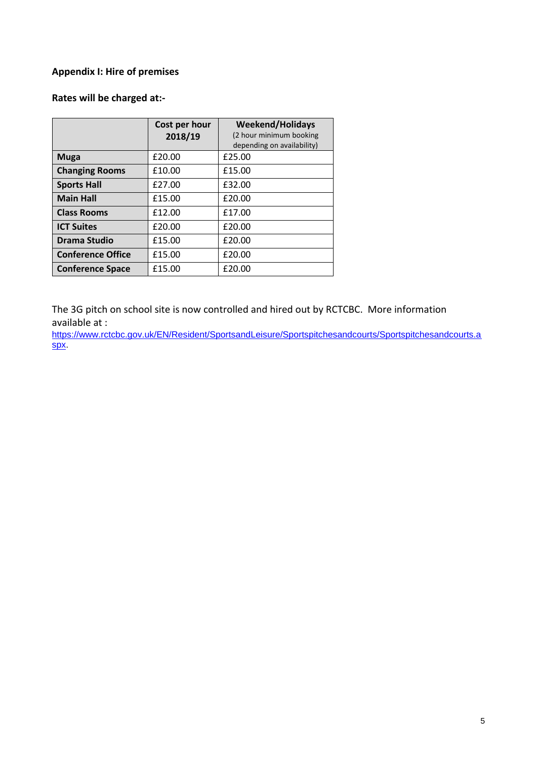# **Appendix I: Hire of premises**

# **Rates will be charged at:-**

|                          | Cost per hour | <b>Weekend/Holidays</b>    |
|--------------------------|---------------|----------------------------|
|                          | 2018/19       | (2 hour minimum booking    |
|                          |               | depending on availability) |
| <b>Muga</b>              | £20.00        | £25.00                     |
| <b>Changing Rooms</b>    | £10.00        | £15.00                     |
| <b>Sports Hall</b>       | £27.00        | £32.00                     |
| <b>Main Hall</b>         | £15.00        | £20.00                     |
| <b>Class Rooms</b>       | £12.00        | £17.00                     |
| <b>ICT Suites</b>        | £20.00        | £20.00                     |
| Drama Studio             | £15.00        | £20.00                     |
| <b>Conference Office</b> | £15.00        | £20.00                     |
| <b>Conference Space</b>  | £15.00        | £20.00                     |

The 3G pitch on school site is now controlled and hired out by RCTCBC. More information available at :

[https://www.rctcbc.gov.uk/EN/Resident/SportsandLeisure/Sportspitchesandcourts/Sportspitchesandcourts.a](https://www.rctcbc.gov.uk/EN/Resident/SportsandLeisure/Sportspitchesandcourts/Sportspitchesandcourts.aspx) [spx.](https://www.rctcbc.gov.uk/EN/Resident/SportsandLeisure/Sportspitchesandcourts/Sportspitchesandcourts.aspx)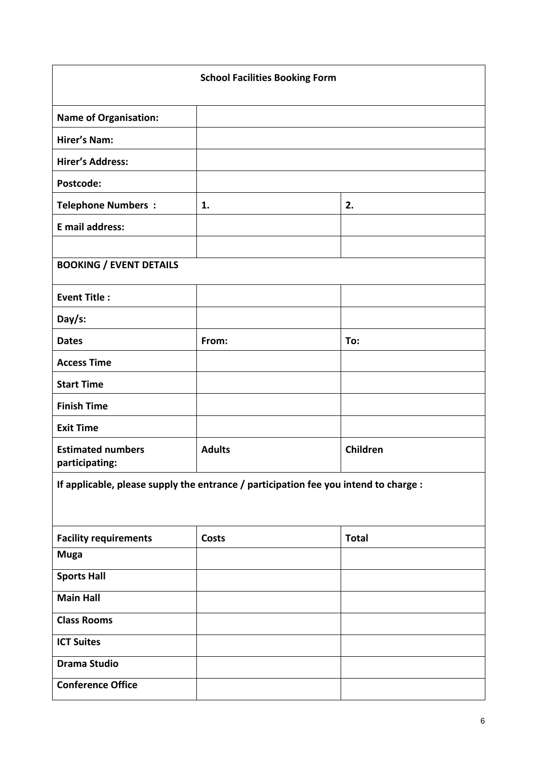| <b>School Facilities Booking Form</b>                                                |               |              |
|--------------------------------------------------------------------------------------|---------------|--------------|
| <b>Name of Organisation:</b>                                                         |               |              |
| <b>Hirer's Nam:</b>                                                                  |               |              |
| <b>Hirer's Address:</b>                                                              |               |              |
| Postcode:                                                                            |               |              |
| <b>Telephone Numbers:</b>                                                            | 1.            | 2.           |
| E mail address:                                                                      |               |              |
|                                                                                      |               |              |
| <b>BOOKING / EVENT DETAILS</b>                                                       |               |              |
| <b>Event Title:</b>                                                                  |               |              |
| Day/s:                                                                               |               |              |
| <b>Dates</b>                                                                         | From:         | To:          |
| <b>Access Time</b>                                                                   |               |              |
| <b>Start Time</b>                                                                    |               |              |
| <b>Finish Time</b>                                                                   |               |              |
| <b>Exit Time</b>                                                                     |               |              |
| <b>Estimated numbers</b><br>participating:                                           | <b>Adults</b> | Children     |
| If applicable, please supply the entrance / participation fee you intend to charge : |               |              |
| <b>Facility requirements</b>                                                         | Costs         | <b>Total</b> |
| <b>Muga</b>                                                                          |               |              |
| <b>Sports Hall</b>                                                                   |               |              |
| <b>Main Hall</b>                                                                     |               |              |
| <b>Class Rooms</b>                                                                   |               |              |
| <b>ICT Suites</b>                                                                    |               |              |
| <b>Drama Studio</b>                                                                  |               |              |
| <b>Conference Office</b>                                                             |               |              |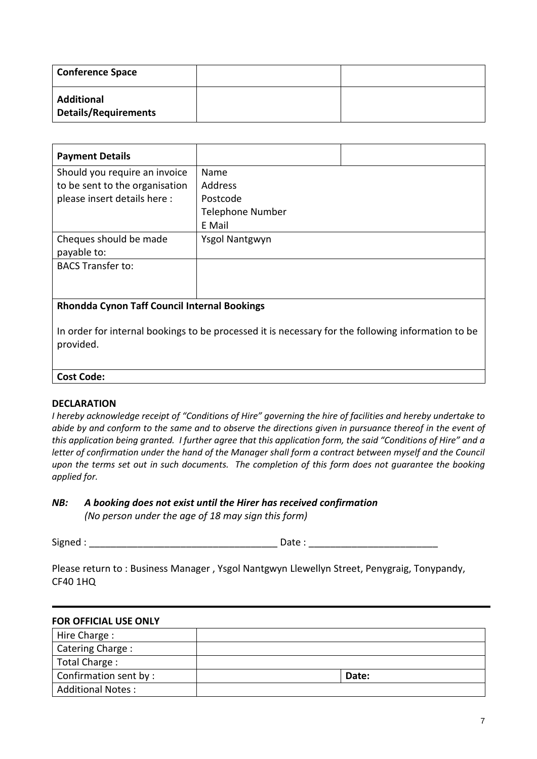| <b>Conference Space</b>                          |  |
|--------------------------------------------------|--|
| <b>Additional</b><br><b>Details/Requirements</b> |  |

| <b>Payment Details</b>                                             |                         |  |
|--------------------------------------------------------------------|-------------------------|--|
| Should you require an invoice                                      | Name                    |  |
| to be sent to the organisation                                     | Address                 |  |
| please insert details here :                                       | Postcode                |  |
|                                                                    | <b>Telephone Number</b> |  |
|                                                                    | E Mail                  |  |
| Cheques should be made                                             | Ysgol Nantgwyn          |  |
| payable to:                                                        |                         |  |
| <b>BACS Transfer to:</b>                                           |                         |  |
|                                                                    |                         |  |
|                                                                    |                         |  |
| $\blacksquare$<br>로 - CC A - - - - - U + - + - - - - U B - - U * - |                         |  |

#### **Rhondda Cynon Taff Council Internal Bookings**

In order for internal bookings to be processed it is necessary for the following information to be provided.

#### **Cost Code:**

#### **DECLARATION**

*I hereby acknowledge receipt of "Conditions of Hire" governing the hire of facilities and hereby undertake to abide by and conform to the same and to observe the directions given in pursuance thereof in the event of this application being granted. I further agree that this application form, the said "Conditions of Hire" and a letter of confirmation under the hand of the Manager shall form a contract between myself and the Council* upon the terms set out in such documents. The completion of this form does not quarantee the booking *applied for.*

*NB: A booking does not exist until the Hirer has received confirmation (No person under the age of 18 may sign this form)*

Signed : \_\_\_\_\_\_\_\_\_\_\_\_\_\_\_\_\_\_\_\_\_\_\_\_\_\_\_\_\_\_\_\_\_\_\_ Date : \_\_\_\_\_\_\_\_\_\_\_\_\_\_\_\_\_\_\_\_\_\_\_\_

Please return to : Business Manager , Ysgol Nantgwyn Llewellyn Street, Penygraig, Tonypandy, CF40 1HQ

#### **FOR OFFICIAL USE ONLY**

| Hire Charge:             |       |
|--------------------------|-------|
| Catering Charge:         |       |
| Total Charge:            |       |
| Confirmation sent by:    | Date: |
| <b>Additional Notes:</b> |       |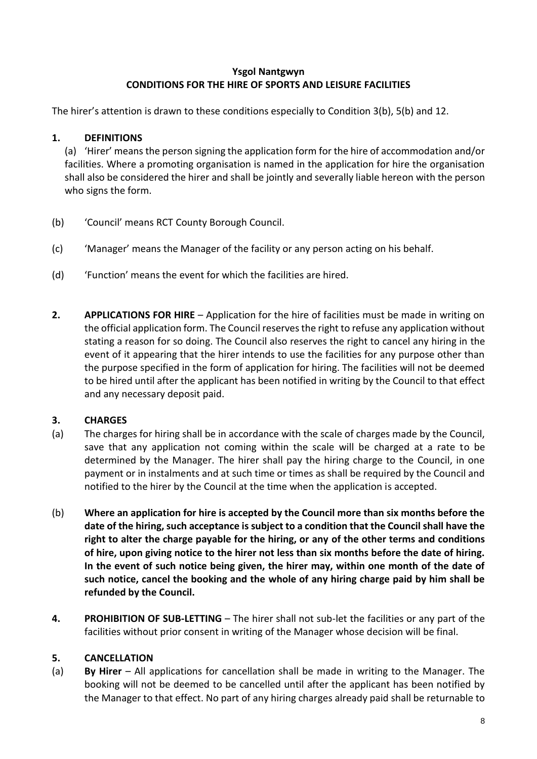# **Ysgol Nantgwyn CONDITIONS FOR THE HIRE OF SPORTS AND LEISURE FACILITIES**

The hirer's attention is drawn to these conditions especially to Condition 3(b), 5(b) and 12.

# **1. DEFINITIONS**

(a) 'Hirer' means the person signing the application form for the hire of accommodation and/or facilities. Where a promoting organisation is named in the application for hire the organisation shall also be considered the hirer and shall be jointly and severally liable hereon with the person who signs the form.

- (b) 'Council' means RCT County Borough Council.
- (c) 'Manager' means the Manager of the facility or any person acting on his behalf.
- (d) 'Function' means the event for which the facilities are hired.
- **2. APPLICATIONS FOR HIRE** Application for the hire of facilities must be made in writing on the official application form. The Council reserves the right to refuse any application without stating a reason for so doing. The Council also reserves the right to cancel any hiring in the event of it appearing that the hirer intends to use the facilities for any purpose other than the purpose specified in the form of application for hiring. The facilities will not be deemed to be hired until after the applicant has been notified in writing by the Council to that effect and any necessary deposit paid.

## **3. CHARGES**

- (a) The charges for hiring shall be in accordance with the scale of charges made by the Council, save that any application not coming within the scale will be charged at a rate to be determined by the Manager. The hirer shall pay the hiring charge to the Council, in one payment or in instalments and at such time or times as shall be required by the Council and notified to the hirer by the Council at the time when the application is accepted.
- (b) **Where an application for hire is accepted by the Council more than six months before the date of the hiring, such acceptance is subject to a condition that the Council shall have the right to alter the charge payable for the hiring, or any of the other terms and conditions of hire, upon giving notice to the hirer not less than six months before the date of hiring. In the event of such notice being given, the hirer may, within one month of the date of such notice, cancel the booking and the whole of any hiring charge paid by him shall be refunded by the Council.**
- **4. PROHIBITION OF SUB-LETTING** The hirer shall not sub-let the facilities or any part of the facilities without prior consent in writing of the Manager whose decision will be final.

## **5. CANCELLATION**

(a) **By Hirer** – All applications for cancellation shall be made in writing to the Manager. The booking will not be deemed to be cancelled until after the applicant has been notified by the Manager to that effect. No part of any hiring charges already paid shall be returnable to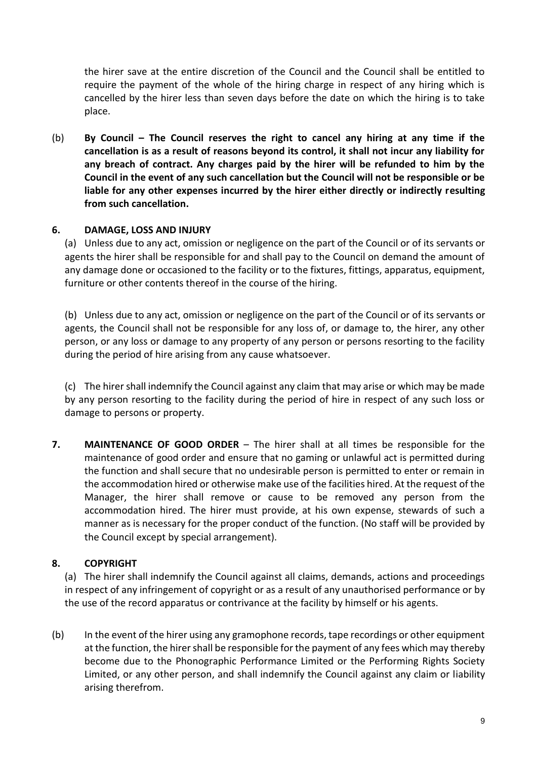the hirer save at the entire discretion of the Council and the Council shall be entitled to require the payment of the whole of the hiring charge in respect of any hiring which is cancelled by the hirer less than seven days before the date on which the hiring is to take place.

(b) **By Council – The Council reserves the right to cancel any hiring at any time if the cancellation is as a result of reasons beyond its control, it shall not incur any liability for any breach of contract. Any charges paid by the hirer will be refunded to him by the Council in the event of any such cancellation but the Council will not be responsible or be liable for any other expenses incurred by the hirer either directly or indirectly resulting from such cancellation.**

## **6. DAMAGE, LOSS AND INJURY**

(a) Unless due to any act, omission or negligence on the part of the Council or of its servants or agents the hirer shall be responsible for and shall pay to the Council on demand the amount of any damage done or occasioned to the facility or to the fixtures, fittings, apparatus, equipment, furniture or other contents thereof in the course of the hiring.

(b) Unless due to any act, omission or negligence on the part of the Council or of its servants or agents, the Council shall not be responsible for any loss of, or damage to, the hirer, any other person, or any loss or damage to any property of any person or persons resorting to the facility during the period of hire arising from any cause whatsoever.

(c) The hirer shall indemnify the Council against any claim that may arise or which may be made by any person resorting to the facility during the period of hire in respect of any such loss or damage to persons or property.

**7. MAINTENANCE OF GOOD ORDER** – The hirer shall at all times be responsible for the maintenance of good order and ensure that no gaming or unlawful act is permitted during the function and shall secure that no undesirable person is permitted to enter or remain in the accommodation hired or otherwise make use of the facilities hired. At the request of the Manager, the hirer shall remove or cause to be removed any person from the accommodation hired. The hirer must provide, at his own expense, stewards of such a manner as is necessary for the proper conduct of the function. (No staff will be provided by the Council except by special arrangement).

## **8. COPYRIGHT**

(a) The hirer shall indemnify the Council against all claims, demands, actions and proceedings in respect of any infringement of copyright or as a result of any unauthorised performance or by the use of the record apparatus or contrivance at the facility by himself or his agents.

(b) In the event of the hirer using any gramophone records, tape recordings or other equipment at the function, the hirer shall be responsible for the payment of any fees which may thereby become due to the Phonographic Performance Limited or the Performing Rights Society Limited, or any other person, and shall indemnify the Council against any claim or liability arising therefrom.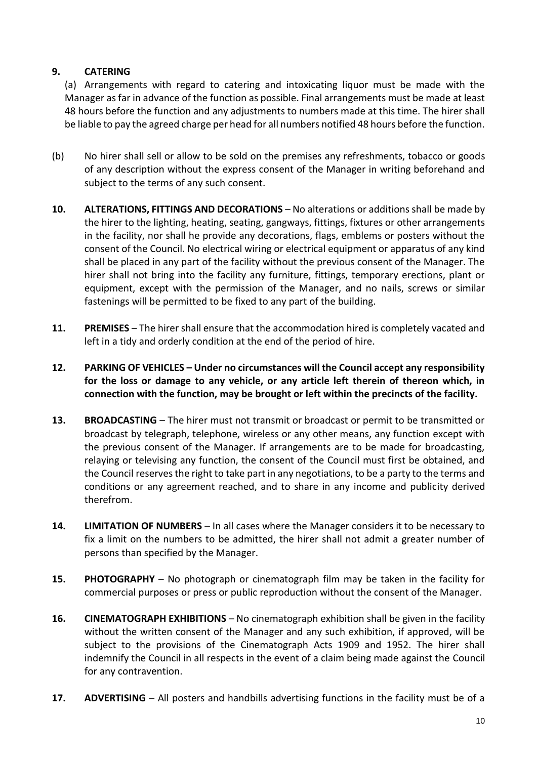# **9. CATERING**

(a) Arrangements with regard to catering and intoxicating liquor must be made with the Manager as far in advance of the function as possible. Final arrangements must be made at least 48 hours before the function and any adjustments to numbers made at this time. The hirer shall be liable to pay the agreed charge per head for all numbers notified 48 hours before the function.

- (b) No hirer shall sell or allow to be sold on the premises any refreshments, tobacco or goods of any description without the express consent of the Manager in writing beforehand and subject to the terms of any such consent.
- **10. ALTERATIONS, FITTINGS AND DECORATIONS** No alterations or additions shall be made by the hirer to the lighting, heating, seating, gangways, fittings, fixtures or other arrangements in the facility, nor shall he provide any decorations, flags, emblems or posters without the consent of the Council. No electrical wiring or electrical equipment or apparatus of any kind shall be placed in any part of the facility without the previous consent of the Manager. The hirer shall not bring into the facility any furniture, fittings, temporary erections, plant or equipment, except with the permission of the Manager, and no nails, screws or similar fastenings will be permitted to be fixed to any part of the building.
- **11. PREMISES** The hirer shall ensure that the accommodation hired is completely vacated and left in a tidy and orderly condition at the end of the period of hire.
- **12. PARKING OF VEHICLES – Under no circumstances will the Council accept any responsibility for the loss or damage to any vehicle, or any article left therein of thereon which, in connection with the function, may be brought or left within the precincts of the facility.**
- **13. BROADCASTING** The hirer must not transmit or broadcast or permit to be transmitted or broadcast by telegraph, telephone, wireless or any other means, any function except with the previous consent of the Manager. If arrangements are to be made for broadcasting, relaying or televising any function, the consent of the Council must first be obtained, and the Council reserves the right to take part in any negotiations, to be a party to the terms and conditions or any agreement reached, and to share in any income and publicity derived therefrom.
- **14. LIMITATION OF NUMBERS**  In all cases where the Manager considers it to be necessary to fix a limit on the numbers to be admitted, the hirer shall not admit a greater number of persons than specified by the Manager.
- **15. PHOTOGRAPHY** No photograph or cinematograph film may be taken in the facility for commercial purposes or press or public reproduction without the consent of the Manager.
- **16. CINEMATOGRAPH EXHIBITIONS** No cinematograph exhibition shall be given in the facility without the written consent of the Manager and any such exhibition, if approved, will be subject to the provisions of the Cinematograph Acts 1909 and 1952. The hirer shall indemnify the Council in all respects in the event of a claim being made against the Council for any contravention.
- **17. ADVERTISING** All posters and handbills advertising functions in the facility must be of a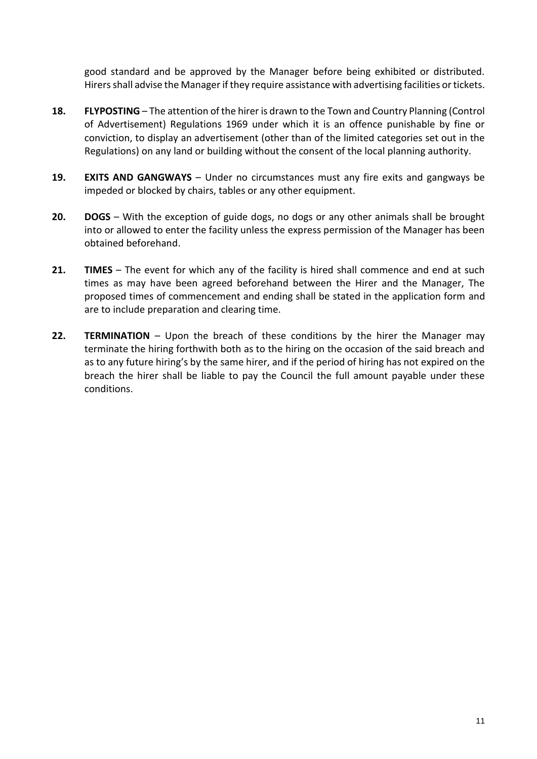good standard and be approved by the Manager before being exhibited or distributed. Hirers shall advise the Manager if they require assistance with advertising facilities or tickets.

- **18. FLYPOSTING** The attention of the hirer is drawn to the Town and Country Planning (Control of Advertisement) Regulations 1969 under which it is an offence punishable by fine or conviction, to display an advertisement (other than of the limited categories set out in the Regulations) on any land or building without the consent of the local planning authority.
- **19. EXITS AND GANGWAYS** Under no circumstances must any fire exits and gangways be impeded or blocked by chairs, tables or any other equipment.
- **20. DOGS** With the exception of guide dogs, no dogs or any other animals shall be brought into or allowed to enter the facility unless the express permission of the Manager has been obtained beforehand.
- **21. TIMES** The event for which any of the facility is hired shall commence and end at such times as may have been agreed beforehand between the Hirer and the Manager, The proposed times of commencement and ending shall be stated in the application form and are to include preparation and clearing time.
- **22. TERMINATION** Upon the breach of these conditions by the hirer the Manager may terminate the hiring forthwith both as to the hiring on the occasion of the said breach and as to any future hiring's by the same hirer, and if the period of hiring has not expired on the breach the hirer shall be liable to pay the Council the full amount payable under these conditions.